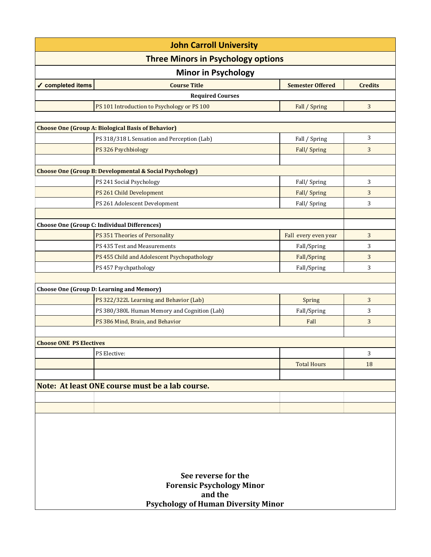| <b>John Carroll University</b>                  |                                                                    |                         |                |  |  |
|-------------------------------------------------|--------------------------------------------------------------------|-------------------------|----------------|--|--|
| <b>Three Minors in Psychology options</b>       |                                                                    |                         |                |  |  |
| <b>Minor in Psychology</b>                      |                                                                    |                         |                |  |  |
| ✔ completed items                               | <b>Course Title</b>                                                | <b>Semester Offered</b> | <b>Credits</b> |  |  |
|                                                 | <b>Required Courses</b>                                            |                         |                |  |  |
|                                                 | PS 101 Introduction to Psychology or PS 100                        | Fall / Spring           | 3              |  |  |
|                                                 |                                                                    |                         |                |  |  |
|                                                 | <b>Choose One (Group A: Biological Basis of Behavior)</b>          |                         |                |  |  |
|                                                 | PS 318/318 L Sensation and Perception (Lab)                        | Fall / Spring           | 3              |  |  |
|                                                 | PS 326 Psychbiology                                                | Fall/Spring             | 3              |  |  |
|                                                 |                                                                    |                         |                |  |  |
|                                                 | <b>Choose One (Group B: Developmental &amp; Social Psychology)</b> |                         |                |  |  |
|                                                 | PS 241 Social Psychology                                           | Fall/Spring             | 3              |  |  |
|                                                 | PS 261 Child Development                                           | Fall/Spring             | 3              |  |  |
|                                                 | PS 261 Adolescent Development                                      | Fall/Spring             | 3              |  |  |
|                                                 |                                                                    |                         |                |  |  |
|                                                 | <b>Choose One (Group C: Individual Differences)</b>                |                         |                |  |  |
|                                                 | PS 351 Theories of Personality                                     | Fall every even year    | 3              |  |  |
|                                                 | PS 435 Test and Measurements                                       | Fall/Spring             | 3              |  |  |
|                                                 | PS 455 Child and Adolescent Psychopathology                        | Fall/Spring             | 3              |  |  |
|                                                 | PS 457 Psychpathology                                              | Fall/Spring             | 3              |  |  |
|                                                 | <b>Choose One (Group D: Learning and Memory)</b>                   |                         |                |  |  |
|                                                 | PS 322/322L Learning and Behavior (Lab)                            | Spring                  | 3              |  |  |
|                                                 | PS 380/380L Human Memory and Cognition (Lab)                       | Fall/Spring             | 3              |  |  |
|                                                 | PS 386 Mind, Brain, and Behavior                                   | Fall                    | 3              |  |  |
|                                                 |                                                                    |                         |                |  |  |
| <b>Choose ONE PS Electives</b>                  |                                                                    |                         |                |  |  |
|                                                 | PS Elective:                                                       |                         | 3              |  |  |
|                                                 |                                                                    | <b>Total Hours</b>      | 18             |  |  |
|                                                 |                                                                    |                         |                |  |  |
| Note: At least ONE course must be a lab course. |                                                                    |                         |                |  |  |
|                                                 |                                                                    |                         |                |  |  |
|                                                 |                                                                    |                         |                |  |  |
|                                                 |                                                                    |                         |                |  |  |
|                                                 |                                                                    |                         |                |  |  |
|                                                 |                                                                    |                         |                |  |  |
|                                                 |                                                                    |                         |                |  |  |
|                                                 |                                                                    |                         |                |  |  |
| See reverse for the                             |                                                                    |                         |                |  |  |
| <b>Forensic Psychology Minor</b>                |                                                                    |                         |                |  |  |
| and the                                         |                                                                    |                         |                |  |  |
| <b>Psychology of Human Diversity Minor</b>      |                                                                    |                         |                |  |  |